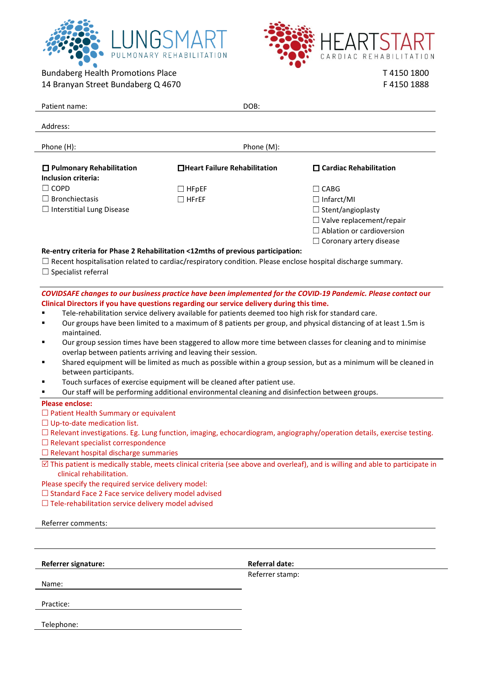



Bundaberg Health Promotions Place 14 Branyan Street Bundaberg Q 4670 T 4150 1800 F 4150 1888

| Patient name:                                                                                                                                                                                         | DOB:                          |                                  |
|-------------------------------------------------------------------------------------------------------------------------------------------------------------------------------------------------------|-------------------------------|----------------------------------|
|                                                                                                                                                                                                       |                               |                                  |
| Address:                                                                                                                                                                                              |                               |                                  |
| Phone (H):<br>Phone (M):                                                                                                                                                                              |                               |                                  |
|                                                                                                                                                                                                       |                               |                                  |
| $\Box$ Pulmonary Rehabilitation                                                                                                                                                                       | □Heart Failure Rehabilitation | $\square$ Cardiac Rehabilitation |
| <b>Inclusion criteria:</b>                                                                                                                                                                            |                               |                                  |
| $\Box$ COPD                                                                                                                                                                                           | $\Box$ HFpEF                  | $\Box$ CABG                      |
| $\Box$ Bronchiectasis                                                                                                                                                                                 | $\Box$ HFrEF                  | $\Box$ Infarct/MI                |
| $\Box$ Interstitial Lung Disease                                                                                                                                                                      |                               | $\Box$ Stent/angioplasty         |
|                                                                                                                                                                                                       |                               | $\Box$ Valve replacement/repair  |
|                                                                                                                                                                                                       |                               | $\Box$ Ablation or cardioversion |
|                                                                                                                                                                                                       |                               | $\Box$ Coronary artery disease   |
| Re-entry criteria for Phase 2 Rehabilitation <12mths of previous participation:<br>$\Box$ Recent hospitalisation related to cardiac/respiratory condition. Please enclose hospital discharge summary. |                               |                                  |
| $\Box$ Specialist referral                                                                                                                                                                            |                               |                                  |
|                                                                                                                                                                                                       |                               |                                  |
| COVIDSAFE changes to our business practice have been implemented for the COVID-19 Pandemic. Please contact our                                                                                        |                               |                                  |
| Clinical Directors if you have questions regarding our service delivery during this time.                                                                                                             |                               |                                  |
| Tele-rehabilitation service delivery available for patients deemed too high risk for standard care.                                                                                                   |                               |                                  |
| Our groups have been limited to a maximum of 8 patients per group, and physical distancing of at least 1.5m is                                                                                        |                               |                                  |
| maintained.                                                                                                                                                                                           |                               |                                  |
| Our group session times have been staggered to allow more time between classes for cleaning and to minimise                                                                                           |                               |                                  |
| overlap between patients arriving and leaving their session.                                                                                                                                          |                               |                                  |
| Shared equipment will be limited as much as possible within a group session, but as a minimum will be cleaned in<br>between participants.                                                             |                               |                                  |
| Touch surfaces of exercise equipment will be cleaned after patient use.                                                                                                                               |                               |                                  |
| Our staff will be performing additional environmental cleaning and disinfection between groups.<br>٠                                                                                                  |                               |                                  |
| <b>Please enclose:</b>                                                                                                                                                                                |                               |                                  |
| $\Box$ Patient Health Summary or equivalent                                                                                                                                                           |                               |                                  |
| $\Box$ Up-to-date medication list.                                                                                                                                                                    |                               |                                  |
| $\Box$ Relevant investigations. Eg. Lung function, imaging, echocardiogram, angiography/operation details, exercise testing.                                                                          |                               |                                  |
| $\Box$ Relevant specialist correspondence                                                                                                                                                             |                               |                                  |
| $\Box$ Relevant hospital discharge summaries                                                                                                                                                          |                               |                                  |
| $\boxtimes$ This patient is medically stable, meets clinical criteria (see above and overleaf), and is willing and able to participate in<br>clinical rehabilitation.                                 |                               |                                  |
| Please specify the required service delivery model:                                                                                                                                                   |                               |                                  |
| $\Box$ Standard Face 2 Face service delivery model advised                                                                                                                                            |                               |                                  |
| $\Box$ Tele-rehabilitation service delivery model advised                                                                                                                                             |                               |                                  |
|                                                                                                                                                                                                       |                               |                                  |
| Referrer comments:                                                                                                                                                                                    |                               |                                  |
|                                                                                                                                                                                                       |                               |                                  |
| Referrer signature:                                                                                                                                                                                   | Referral date:                |                                  |
|                                                                                                                                                                                                       | Referrer stamp:               |                                  |
| Name:                                                                                                                                                                                                 |                               |                                  |
|                                                                                                                                                                                                       |                               |                                  |
| Practice:                                                                                                                                                                                             |                               |                                  |

Telephone: